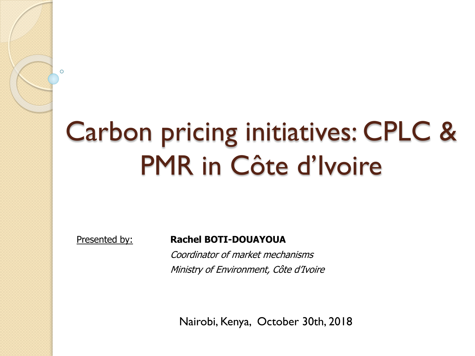# Carbon pricing initiatives: CPLC & PMR in Côte d'Ivoire

 $\Omega$ 

#### Presented by: **Rachel BOTI-DOUAYOUA**

Coordinator of market mechanisms Ministry of Environment, Côte d'Ivoire

Nairobi, Kenya, October 30th, 2018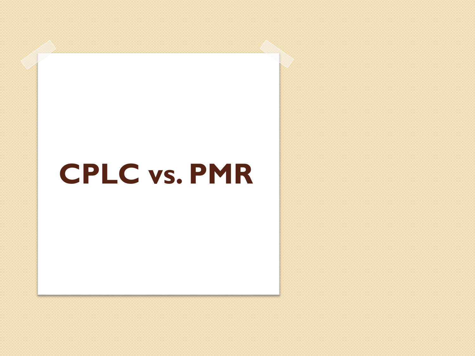## **CPLC vs. PMR**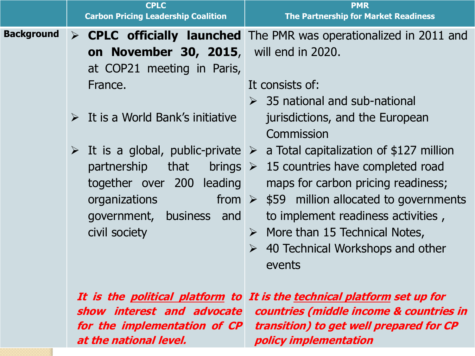|                   | <b>CPLC</b><br><b>Carbon Pricing Leadership Coalition</b>                                                                                                                                                                               | <b>PMR</b><br><b>The Partnership for Market Readiness</b>                                                                                                                                                                                                                                                                                                                                                                                                                                                                                                                                                                                                     |
|-------------------|-----------------------------------------------------------------------------------------------------------------------------------------------------------------------------------------------------------------------------------------|---------------------------------------------------------------------------------------------------------------------------------------------------------------------------------------------------------------------------------------------------------------------------------------------------------------------------------------------------------------------------------------------------------------------------------------------------------------------------------------------------------------------------------------------------------------------------------------------------------------------------------------------------------------|
| <b>Background</b> | on November 30, 2015,<br>at COP21 meeting in Paris,<br>France.<br>$\triangleright$ It is a World Bank's initiative<br>that<br>partnership<br>together over 200<br>leading<br>organizations<br>government, business and<br>civil society | $\triangleright$ CPLC officially launched The PMR was operationalized in 2011 and<br>will end in 2020.<br>It consists of:<br>$\geq$ 35 national and sub-national<br>jurisdictions, and the European<br>Commission<br>$\triangleright$ It is a global, public-private $\triangleright$ a Total capitalization of \$127 million<br>brings $\triangleright$ 15 countries have completed road<br>maps for carbon pricing readiness;<br>from $\triangleright$ \$59 million allocated to governments<br>to implement readiness activities,<br>$\triangleright$ More than 15 Technical Notes,<br>40 Technical Workshops and other<br>$\blacktriangleright$<br>events |
|                   | for the implementation of CP                                                                                                                                                                                                            | It is the political platform to It is the technical platform set up for<br>show interest and advocate countries (middle income & countries in<br>transition) to get well prepared for CP                                                                                                                                                                                                                                                                                                                                                                                                                                                                      |

**policy implementation**

**at the national level.**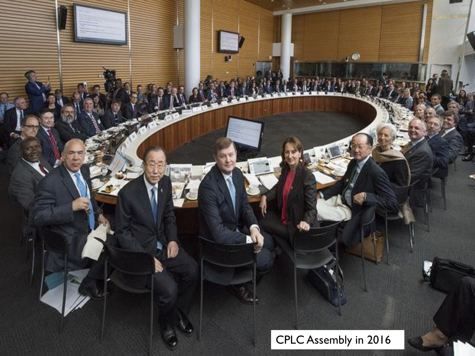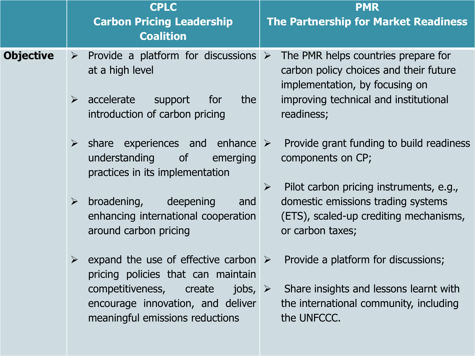|                  | <b>CPLC</b><br><b>Carbon Pricing Leadership</b><br><b>Coalition</b>                                                                                                                                                                     | <b>PMR</b><br><b>The Partnership for Market Readiness</b>                                                                                                              |
|------------------|-----------------------------------------------------------------------------------------------------------------------------------------------------------------------------------------------------------------------------------------|------------------------------------------------------------------------------------------------------------------------------------------------------------------------|
| <b>Objective</b> | Provide a platform for discussions $\triangleright$<br>$\blacktriangleright$<br>at a high level<br>accelerate<br>the<br>$\blacktriangleright$<br>support<br>for<br>introduction of carbon pricing                                       | The PMR helps countries prepare for<br>carbon policy choices and their future<br>implementation, by focusing on<br>improving technical and institutional<br>readiness; |
|                  | $\triangleright$ share experiences and enhance $\triangleright$<br>understanding<br><b>of</b><br>emerging<br>practices in its implementation                                                                                            | Provide grant funding to build readiness<br>components on CP;                                                                                                          |
|                  | broadening,<br>deepening<br>$\blacktriangleright$<br>and<br>enhancing international cooperation<br>around carbon pricing                                                                                                                | Pilot carbon pricing instruments, e.g.,<br>$\blacktriangleright$<br>domestic emissions trading systems<br>(ETS), scaled-up crediting mechanisms,<br>or carbon taxes;   |
|                  | $\triangleright$ expand the use of effective carbon $\triangleright$<br>pricing policies that can maintain<br>competitiveness, create<br>jobs, $\triangleright$<br>encourage innovation, and deliver<br>meaningful emissions reductions | Provide a platform for discussions;<br>Share insights and lessons learnt with<br>the international community, including<br>the UNFCCC.                                 |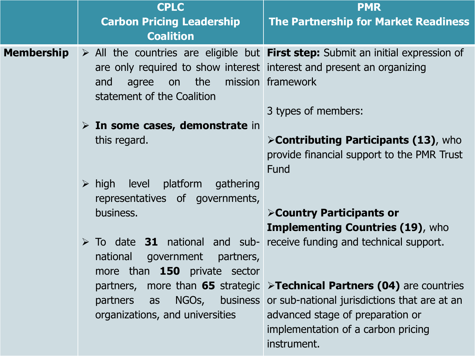|                   | <b>CPLC</b>                                                                                                                      | <b>PMR</b>                                                                                                                                                                                                                      |  |
|-------------------|----------------------------------------------------------------------------------------------------------------------------------|---------------------------------------------------------------------------------------------------------------------------------------------------------------------------------------------------------------------------------|--|
|                   | <b>Carbon Pricing Leadership</b><br><b>Coalition</b>                                                                             | The Partnership for Market Readiness                                                                                                                                                                                            |  |
| <b>Membership</b> | are only required to show interest interest and present an organizing<br>the<br>agree<br>on<br>and<br>statement of the Coalition | $\triangleright$ All the countries are eligible but <b>First step:</b> Submit an initial expression of<br>mission framework<br>3 types of members:                                                                              |  |
|                   | $\triangleright$ In some cases, demonstrate in<br>this regard.                                                                   | >Contributing Participants (13), who<br>provide financial support to the PMR Trust<br>Fund                                                                                                                                      |  |
|                   | $\triangleright$ high level platform gathering<br>representatives of governments,<br>business.                                   | <b>&gt;Country Participants or</b><br><b>Implementing Countries (19), who</b>                                                                                                                                                   |  |
|                   | national<br>government<br>partners,<br>more than <b>150</b> private sector                                                       | $\triangleright$ To date 31 national and sub- receive funding and technical support.                                                                                                                                            |  |
|                   | partners as<br>organizations, and universities                                                                                   | partners, more than 65 strategic >Technical Partners (04) are countries<br>NGOs, business or sub-national jurisdictions that are at an<br>advanced stage of preparation or<br>implementation of a carbon pricing<br>instrument. |  |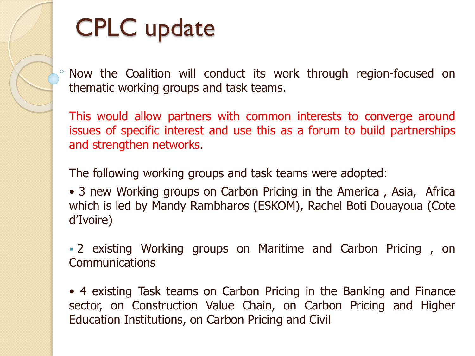

## CPLC update

Now the Coalition will conduct its work through region-focused on thematic working groups and task teams.

This would allow partners with common interests to converge around issues of specific interest and use this as a forum to build partnerships and strengthen networks.

The following working groups and task teams were adopted:

• 3 new Working groups on Carbon Pricing in the America , Asia, Africa which is led by Mandy Rambharos (ESKOM), Rachel Boti Douayoua (Cote d'Ivoire)

 2 existing Working groups on Maritime and Carbon Pricing , on Communications

• 4 existing Task teams on Carbon Pricing in the Banking and Finance sector, on Construction Value Chain, on Carbon Pricing and Higher Education Institutions, on Carbon Pricing and Civil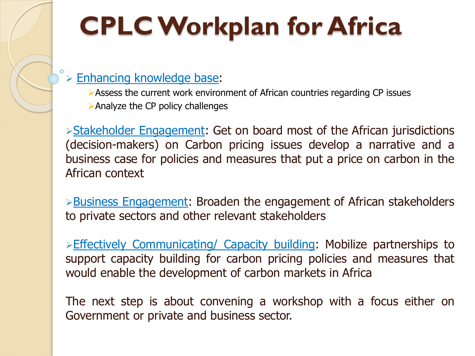# **CPLC Workplan for Africa**

#### Enhancing knowledge base:

- Assess the current work environment of African countries regarding CP issues
- Analyze the CP policy challenges

Stakeholder Engagement: Get on board most of the African jurisdictions (decision-makers) on Carbon pricing issues develop a narrative and a business case for policies and measures that put a price on carbon in the African context

**Business Engagement: Broaden the engagement of African stakeholders** to private sectors and other relevant stakeholders

 $\triangleright$  Effectively Communicating/ Capacity building: Mobilize partnerships to support capacity building for carbon pricing policies and measures that would enable the development of carbon markets in Africa

The next step is about convening a workshop with a focus either on Government or private and business sector.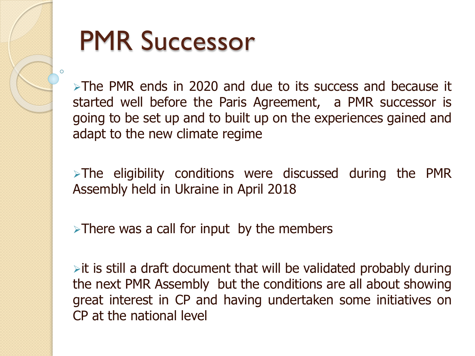

# PMR Successor

>The PMR ends in 2020 and due to its success and because it started well before the Paris Agreement, a PMR successor is going to be set up and to built up on the experiences gained and adapt to the new climate regime

 $\triangleright$  The eligibility conditions were discussed during the PMR Assembly held in Ukraine in April 2018

 $\triangleright$  There was a call for input by the members

 $\triangleright$  it is still a draft document that will be validated probably during the next PMR Assembly but the conditions are all about showing great interest in CP and having undertaken some initiatives on CP at the national level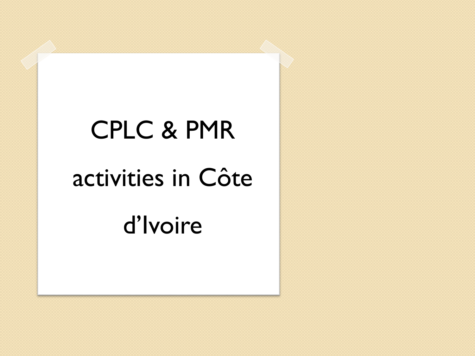# CPLC & PMR activities in Côte d'Ivoire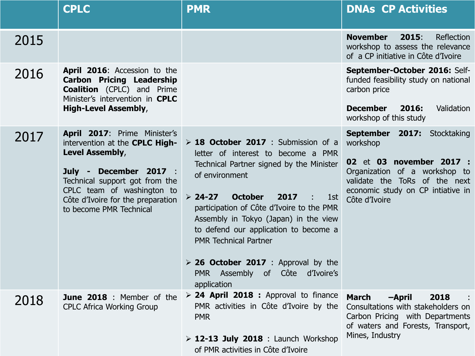|      | <b>CPLC</b>                                                                                                                                                                                                                                 | <b>PMR</b>                                                                                                                                                                                                                                                                                                                                                                                                                                                   | <b>DNAs CP Activities</b>                                                                                                                                                                   |
|------|---------------------------------------------------------------------------------------------------------------------------------------------------------------------------------------------------------------------------------------------|--------------------------------------------------------------------------------------------------------------------------------------------------------------------------------------------------------------------------------------------------------------------------------------------------------------------------------------------------------------------------------------------------------------------------------------------------------------|---------------------------------------------------------------------------------------------------------------------------------------------------------------------------------------------|
| 2015 |                                                                                                                                                                                                                                             |                                                                                                                                                                                                                                                                                                                                                                                                                                                              | <b>November</b><br>2015:<br>Reflection<br>workshop to assess the relevance<br>of a CP initiative in Côte d'Ivoire                                                                           |
| 2016 | <b>April 2016:</b> Accession to the<br><b>Carbon Pricing Leadership</b><br><b>Coalition</b> (CPLC) and Prime<br>Minister's intervention in CPLC<br><b>High-Level Assembly,</b>                                                              |                                                                                                                                                                                                                                                                                                                                                                                                                                                              | September-October 2016: Self-<br>funded feasibility study on national<br>carbon price<br><b>December</b><br>2016:<br>Validation<br>workshop of this study                                   |
| 2017 | April 2017: Prime Minister's<br>intervention at the CPLC High-<br>Level Assembly,<br>July - December 2017 :<br>Technical support got from the<br>CPLC team of washington to<br>Côte d'Ivoire for the preparation<br>to become PMR Technical | > 18 October 2017 : Submission of a<br>letter of interest to become a PMR<br>Technical Partner signed by the Minister<br>of environment<br><b>October</b><br>$> 24-27$<br>2017<br>1st<br>participation of Côte d'Ivoire to the PMR<br>Assembly in Tokyo (Japan) in the view<br>to defend our application to become a<br><b>PMR Technical Partner</b><br>$\triangleright$ 26 October 2017 : Approval by the<br>PMR Assembly of Côte d'Ivoire's<br>application | September 2017: Stocktaking<br>workshop<br>02 et 03 november 2017 :<br>Organization of a workshop to<br>validate the ToRs of the next<br>economic study on CP intiative in<br>Côte d'Ivoire |
| 2018 | CPLC Africa Working Group                                                                                                                                                                                                                   | <b>June 2018</b> : Member of the $\triangleright$ 24 April 2018 : Approval to finance<br>PMR activities in Côte d'Ivoire by the Consultations with stakeholders on<br><b>PMR</b><br>$\triangleright$ 12-13 July 2018 : Launch Workshop<br>of PMR activities in Côte d'Ivoire                                                                                                                                                                                 | <b>March</b><br>2018<br>-April<br>Carbon Pricing with Departments<br>of waters and Forests, Transport,<br>Mines, Industry                                                                   |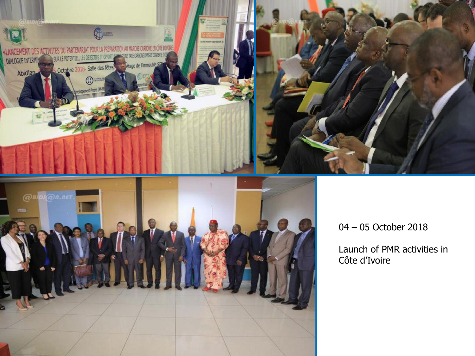

Launch of PMR activities in Côte d'Ivoire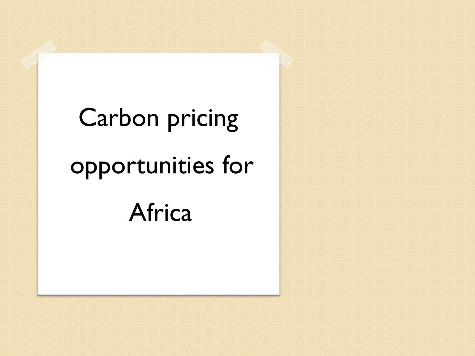# Carbon pricing opportunities for Africa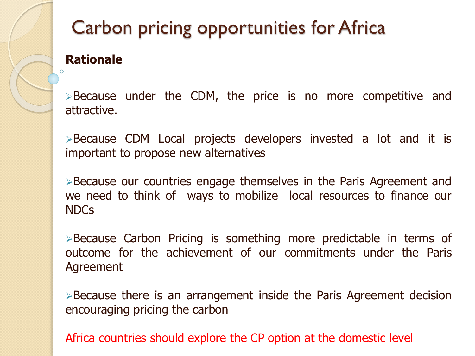

## Carbon pricing opportunities for Africa

### **Rationale**

 $\triangleright$  Because under the CDM, the price is no more competitive and attractive.

Because CDM Local projects developers invested a lot and it is important to propose new alternatives

Because our countries engage themselves in the Paris Agreement and we need to think of ways to mobilize local resources to finance our NDCs

Because Carbon Pricing is something more predictable in terms of outcome for the achievement of our commitments under the Paris Agreement

 $\triangleright$  Because there is an arrangement inside the Paris Agreement decision encouraging pricing the carbon

Africa countries should explore the CP option at the domestic level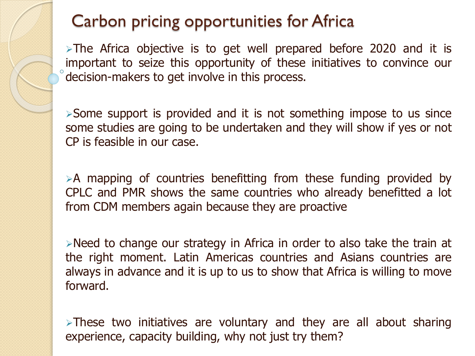### Carbon pricing opportunities for Africa

 $\triangleright$ The Africa objective is to get well prepared before 2020 and it is important to seize this opportunity of these initiatives to convince our decision-makers to get involve in this process.

 $\triangleright$  Some support is provided and it is not something impose to us since some studies are going to be undertaken and they will show if yes or not CP is feasible in our case.

 $\geq$  A mapping of countries benefitting from these funding provided by CPLC and PMR shows the same countries who already benefitted a lot from CDM members again because they are proactive

Need to change our strategy in Africa in order to also take the train at the right moment. Latin Americas countries and Asians countries are always in advance and it is up to us to show that Africa is willing to move forward.

 $\triangleright$ These two initiatives are voluntary and they are all about sharing experience, capacity building, why not just try them?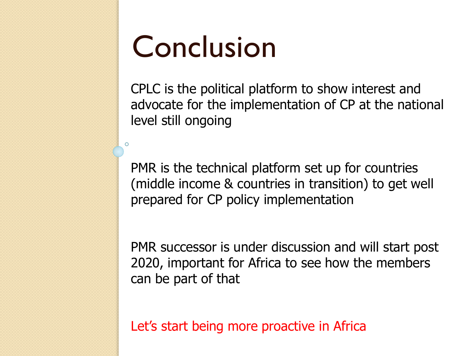# Conclusion

O

CPLC is the political platform to show interest and advocate for the implementation of CP at the national level still ongoing

PMR is the technical platform set up for countries (middle income & countries in transition) to get well prepared for CP policy implementation

PMR successor is under discussion and will start post 2020, important for Africa to see how the members can be part of that

Let's start being more proactive in Africa